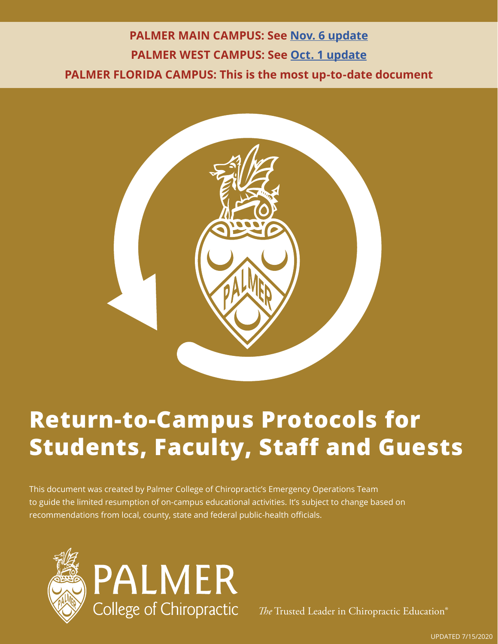### **PALMER MAIN CAMPUS: See [Nov. 6 update](https://cpb-us-e1.wpmucdn.com/blogs.palmer.edu/dist/8/25/files/2020/11/Palmer-main-reporting-info-2020.pdf) PALMER WEST CAMPUS: See [Oct. 1 update](https://www.palmer.edu/getmedia/50cde761-e66c-42a6-bb89-95d4b42636d5/palmer-west-return-to-campus.pdf?_ga=2.74867986.1860289850.1604930491-1082994265.1588624113) PALMER FLORIDA CAMPUS: This is the most up-to-date document**



### **Return-to-Campus Protocols for Students, Faculty, Staff and Guests**

This document was created by Palmer College of Chiropractic's Emergency Operations Team to guide the limited resumption of on-campus educational activities. It's subject to change based on recommendations from local, county, state and federal public-health officials.



*The* Trusted Leader in Chiropractic Education®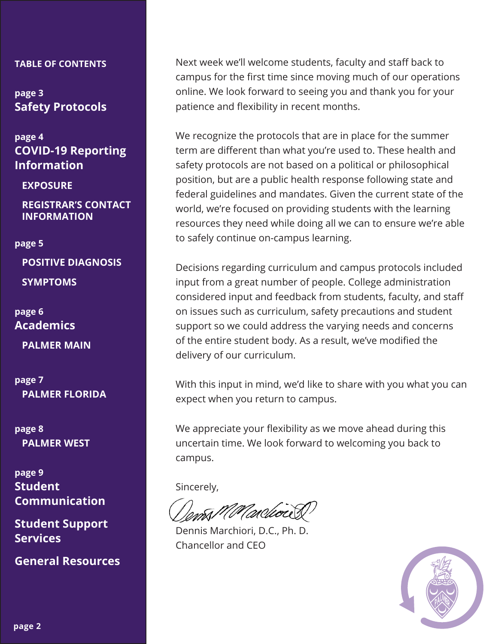#### **TABLE OF CONTENTS**

**page 3 [Safety Protocols](#page-2-0)**

**page 4 [COVID-19 Reporting](#page-3-0) Information** 

**[EXPOSURE](#page-3-0)**

**[REGISTRAR'S CONTACT](#page-3-0) INFORMATION**

#### **page 5**

**[POSITIVE DIAGNOSIS](#page-4-0) [SYMPTOMS](#page-4-0)**

**page 6 [Academics](#page-5-0)**

**[PALMER MAIN](#page-5-0)** 

**page 7 [PALMER FLORIDA](#page-6-0)** 

**page 8 [PALMER WEST](#page-7-0)** 

**page 9 Student [Communication](#page-8-0)** 

**[Student Support](#page-8-0)  Services** 

**[General Resources](#page-8-0)**

Next week we'll welcome students, faculty and staff back to campus for the first time since moving much of our operations online. We look forward to seeing you and thank you for your patience and flexibility in recent months.

We recognize the protocols that are in place for the summer term are different than what you're used to. These health and safety protocols are not based on a political or philosophical position, but are a public health response following state and federal guidelines and mandates. Given the current state of the world, we're focused on providing students with the learning resources they need while doing all we can to ensure we're able to safely continue on-campus learning.

Decisions regarding curriculum and campus protocols included input from a great number of people. College administration considered input and feedback from students, faculty, and staff on issues such as curriculum, safety precautions and student support so we could address the varying needs and concerns of the entire student body. As a result, we've modified the delivery of our curriculum.

With this input in mind, we'd like to share with you what you can expect when you return to campus.

We appreciate your flexibility as we move ahead during this uncertain time. We look forward to welcoming you back to campus.

Sincerely,

Dennis Marchiori, D.C., Ph. D. Chancellor and CEO

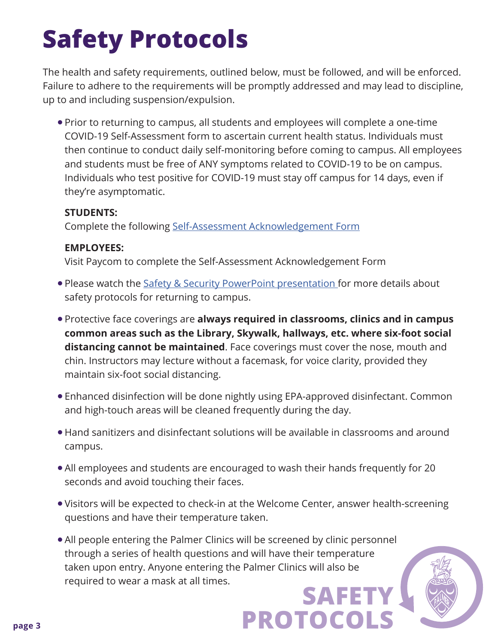# <span id="page-2-0"></span>**Safety Protocols**

The health and safety requirements, outlined below, must be followed, and will be enforced. Failure to adhere to the requirements will be promptly addressed and may lead to discipline, up to and including suspension/expulsion.

• Prior to returning to campus, all students and employees will complete a one-time COVID-19 Self-Assessment form to ascertain current health status. Individuals must then continue to conduct daily self-monitoring before coming to campus. All employees and students must be free of ANY symptoms related to COVID-19 to be on campus. Individuals who test positive for COVID-19 must stay off campus for 14 days, even if they're asymptomatic.

#### **STUDENTS:**

Complete the following [Self-Assessment Acknowledgement Form](https://forms.office.com/Pages/ResponsePage.aspx?id=raWysUySNk6ftMdQ05FYxN3sIcrxzjJKh8pYqzBtVhFUMjdVTVU1RFBQN1ZUQVE5SVNCWTg3UDdGWSQlQCN0PWcu)

#### **EMPLOYEES:**

Visit Paycom to complete the Self-Assessment Acknowledgement Form

- . Please watch the [Safety & Security PowerPoint presentation](https://blogs.palmer.edu/profiles/files/2020/03/return-general-safety-protocols.pptx) for more details about safety protocols for returning to campus.
- **Protective face coverings are always required in classrooms, clinics and in campus common areas such as the Library, Skywalk, hallways, etc. where six-foot social distancing cannot be maintained**. Face coverings must cover the nose, mouth and chin. Instructors may lecture without a facemask, for voice clarity, provided they maintain six-foot social distancing.
- Enhanced disinfection will be done nightly using EPA-approved disinfectant. Common and high-touch areas will be cleaned frequently during the day.
- Hand sanitizers and disinfectant solutions will be available in classrooms and around campus.
- All employees and students are encouraged to wash their hands frequently for 20 seconds and avoid touching their faces.
- Visitors will be expected to check-in at the Welcome Center, answer health-screening questions and have their temperature taken.

**PROTOCOLS** 

• All people entering the Palmer Clinics will be screened by clinic personnel through a series of health questions and will have their temperature taken upon entry. Anyone entering the Palmer Clinics will also be required to wear a mask at all times. **SAFETY**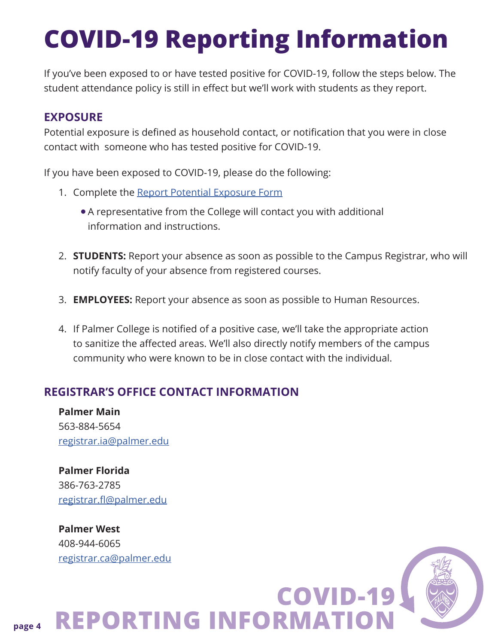## <span id="page-3-0"></span>**COVID-19 Reporting Information**

If you've been exposed to or have tested positive for COVID-19, follow the steps below. The student attendance policy is still in effect but we'll work with students as they report.

#### **EXPOSURE**

Potential exposure is defined as household contact, or notification that you were in close contact with someone who has tested positive for COVID-19.

If you have been exposed to COVID-19, please do the following:

- 1. Complete the [Report Potential Exposure Form](https://forms.office.com/Pages/ResponsePage.aspx?id=raWysUySNk6ftMdQ05FYxBZEdglk7epGiP8DWBRWc-FUM0hRT0tER05ESUxJWDc5UU8zQ00xWFIyTy4u) 
	- A representative from the College will contact you with additional information and instructions.
- 2. **STUDENTS:** Report your absence as soon as possible to the Campus Registrar, who will notify faculty of your absence from registered courses.

**COVID-19** 

- 3. **EMPLOYEES:** Report your absence as soon as possible to Human Resources.
- 4. If Palmer College is notified of a positive case, we'll take the appropriate action to sanitize the affected areas. We'll also directly notify members of the campus community who were known to be in close contact with the individual.

#### **REGISTRAR'S OFFICE CONTACT INFORMATION**

**Palmer Main**  563-884-5654 [registrar.ia@palmer.edu](Mailto:registrar.ia@palmer.edu)

**Palmer Florida**  386-763-2785 [registrar.fl@palmer.edu](mailto:registrar.fl@palmer.edu)

**Palmer West**  408-944-6065 [registrar.ca@palmer.edu](mailto:registrar.ca@palmer.edu)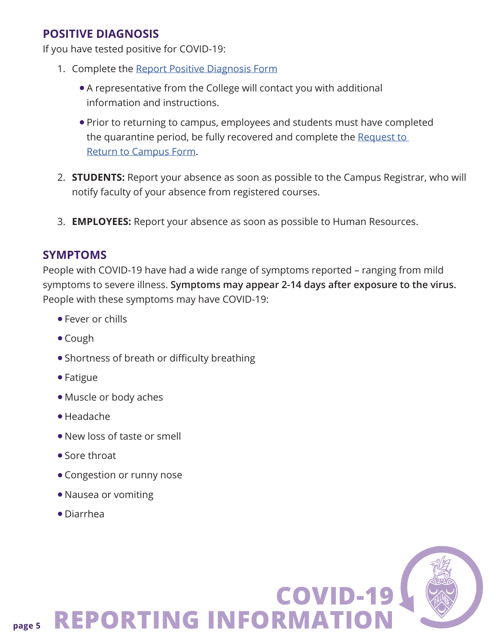#### <span id="page-4-0"></span>**POSITIVE DIAGNOSIS**

If you have tested positive for COVID-19:

- 1. Complete the [Report Positive Diagnosis Form](https://forms.office.com/Pages/ResponsePage.aspx?id=raWysUySNk6ftMdQ05FYxBZEdglk7epGiP8DWBRWc-FURU1SUEs5SktRNDRGVzVZSDFXSDg3OFBXSy4u)
	- A representative from the College will contact you with additional information and instructions.
	- Prior to returning to campus, employees and students must have completed the quarantine period, be fully recovered and complete the [Request to](https://forms.office.com/Pages/ResponsePage.aspx?id=raWysUySNk6ftMdQ05FYxBZEdglk7epGiP8DWBRWc-FUNVJNSE9TUFRQUEdVVlNDVFYySk5JUkFNUi4u)  [Return to Campus Form.](https://forms.office.com/Pages/ResponsePage.aspx?id=raWysUySNk6ftMdQ05FYxBZEdglk7epGiP8DWBRWc-FUNVJNSE9TUFRQUEdVVlNDVFYySk5JUkFNUi4u)
- 2. **STUDENTS:** Report your absence as soon as possible to the Campus Registrar, who will notify faculty of your absence from registered courses.
- 3. **EMPLOYEES:** Report your absence as soon as possible to Human Resources.

#### **SYMPTOMS**

People with COVID-19 have had a wide range of symptoms reported – ranging from mild symptoms to severe illness. **Symptoms may appear 2-14 days after exposure to the virus.** People with these symptoms may have COVID-19:

- **Fever or chills**
- $\bullet$  Cough
- Shortness of breath or difficulty breathing
- $\bullet$  Fatigue
- Muscle or body aches
- $\bullet$  Headache
- $\bullet$  New loss of taste or smell
- $\bullet$  Sore throat
- Congestion or runny nose
- Nausea or vomiting
- $\bullet$  Diarrhea

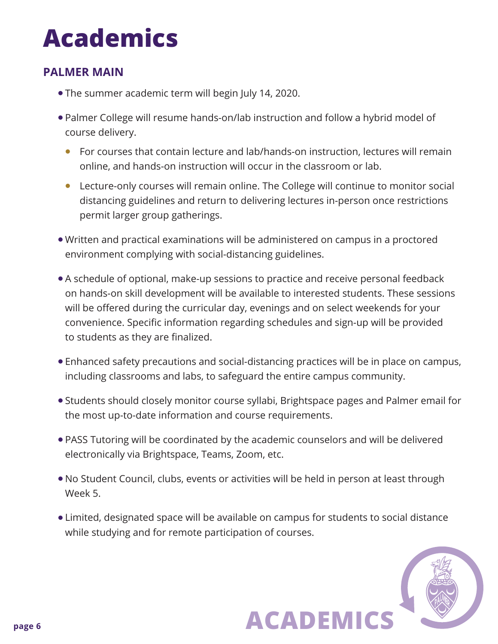## <span id="page-5-0"></span>**Academics**

#### **PALMER MAIN**

- The summer academic term will begin July 14, 2020.
- Palmer College will resume hands-on/lab instruction and follow a hybrid model of course delivery.
	- For courses that contain lecture and lab/hands-on instruction, lectures will remain online, and hands-on instruction will occur in the classroom or lab.
	- l Lecture-only courses will remain online. The College will continue to monitor social distancing guidelines and return to delivering lectures in-person once restrictions permit larger group gatherings.
- Written and practical examinations will be administered on campus in a proctored environment complying with social-distancing guidelines.
- A schedule of optional, make-up sessions to practice and receive personal feedback on hands-on skill development will be available to interested students. These sessions will be offered during the curricular day, evenings and on select weekends for your convenience. Specific information regarding schedules and sign-up will be provided to students as they are finalized.
- Enhanced safety precautions and social-distancing practices will be in place on campus, including classrooms and labs, to safeguard the entire campus community.
- Students should closely monitor course syllabi, Brightspace pages and Palmer email for the most up-to-date information and course requirements.
- PASS Tutoring will be coordinated by the academic counselors and will be delivered electronically via Brightspace, Teams, Zoom, etc.
- No Student Council, clubs, events or activities will be held in person at least through Week 5.
- Limited, designated space will be available on campus for students to social distance while studying and for remote participation of courses.

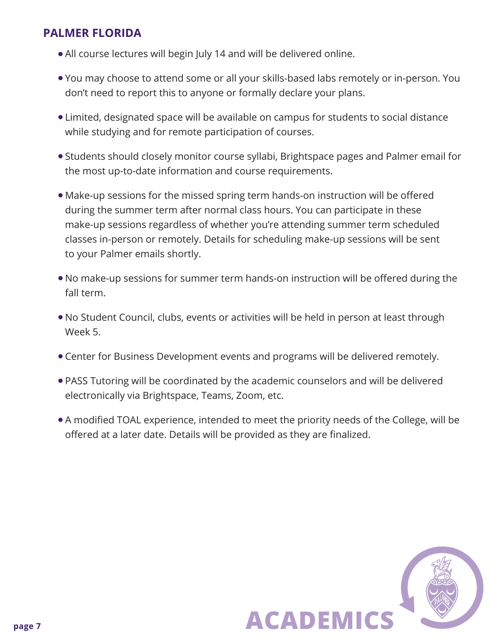#### <span id="page-6-0"></span>**PALMER FLORIDA**

- All course lectures will begin July 14 and will be delivered online.
- You may choose to attend some or all your skills-based labs remotely or in-person. You don't need to report this to anyone or formally declare your plans.
- Limited, designated space will be available on campus for students to social distance while studying and for remote participation of courses.
- Students should closely monitor course syllabi, Brightspace pages and Palmer email for the most up-to-date information and course requirements.
- Make-up sessions for the missed spring term hands-on instruction will be offered during the summer term after normal class hours. You can participate in these make-up sessions regardless of whether you're attending summer term scheduled classes in-person or remotely. Details for scheduling make-up sessions will be sent to your Palmer emails shortly.
- No make-up sessions for summer term hands-on instruction will be offered during the fall term.
- No Student Council, clubs, events or activities will be held in person at least through Week 5.
- Center for Business Development events and programs will be delivered remotely.
- PASS Tutoring will be coordinated by the academic counselors and will be delivered electronically via Brightspace, Teams, Zoom, etc.
- A modified TOAL experience, intended to meet the priority needs of the College, will be offered at a later date. Details will be provided as they are finalized.

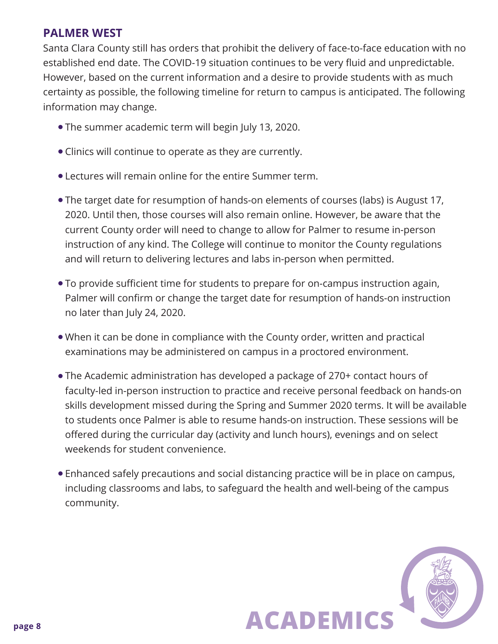#### <span id="page-7-0"></span>**PALMER WEST**

Santa Clara County still has orders that prohibit the delivery of face-to-face education with no established end date. The COVID-19 situation continues to be very fluid and unpredictable. However, based on the current information and a desire to provide students with as much certainty as possible, the following timeline for return to campus is anticipated. The following information may change.

- The summer academic term will begin July 13, 2020.
- Clinics will continue to operate as they are currently.
- l Lectures will remain online for the entire Summer term.
- The target date for resumption of hands-on elements of courses (labs) is August 17, 2020. Until then, those courses will also remain online. However, be aware that the current County order will need to change to allow for Palmer to resume in-person instruction of any kind. The College will continue to monitor the County regulations and will return to delivering lectures and labs in-person when permitted.
- To provide sufficient time for students to prepare for on-campus instruction again, Palmer will confirm or change the target date for resumption of hands-on instruction no later than July 24, 2020.
- When it can be done in compliance with the County order, written and practical examinations may be administered on campus in a proctored environment.
- The Academic administration has developed a package of 270+ contact hours of faculty-led in-person instruction to practice and receive personal feedback on hands-on skills development missed during the Spring and Summer 2020 terms. It will be available to students once Palmer is able to resume hands-on instruction. These sessions will be offered during the curricular day (activity and lunch hours), evenings and on select weekends for student convenience.
- Enhanced safely precautions and social distancing practice will be in place on campus, including classrooms and labs, to safeguard the health and well-being of the campus community.